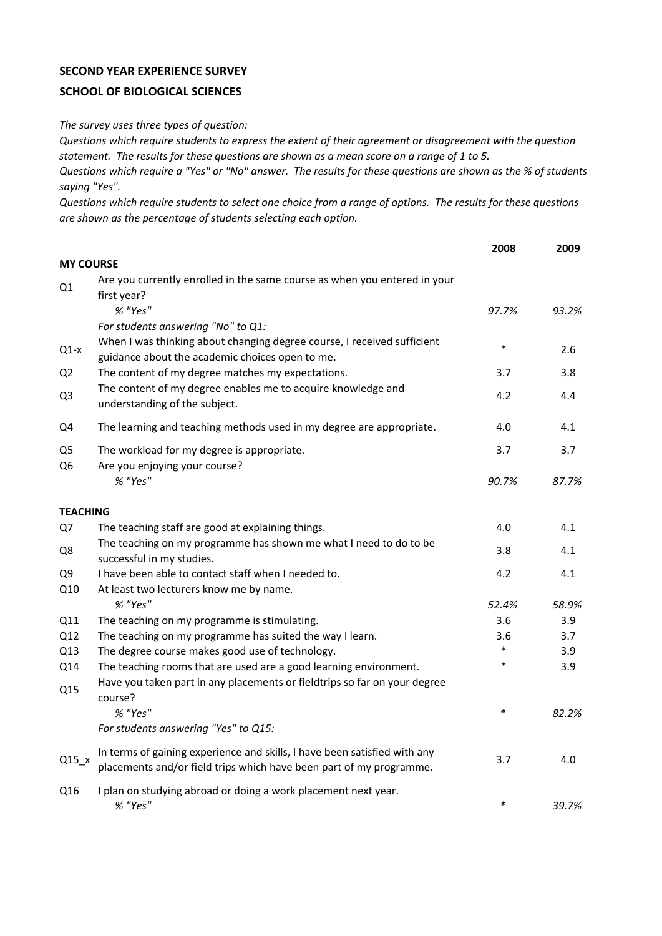## **SECOND YEAR EXPERIENCE SURVEY**

## **SCHOOL OF BIOLOGICAL SCIENCES**

*The survey uses three types of question:*

*Questions which require students to express the extent of their agreement or disagreement with the question statement. The results for these questions are shown as a mean score on a range of 1 to 5.*

*Questions which require a "Yes" or "No" answer. The results for these questions are shown as the % of students saying "Yes".*

*Questions which require students to select one choice from a range of options. The results for these questions are shown as the percentage of students selecting each option.*

|                                  |                                                                                                                                                  | 2008   | 2009  |
|----------------------------------|--------------------------------------------------------------------------------------------------------------------------------------------------|--------|-------|
| <b>MY COURSE</b>                 |                                                                                                                                                  |        |       |
| Q1                               | Are you currently enrolled in the same course as when you entered in your<br>first year?                                                         |        |       |
|                                  | % "Yes"                                                                                                                                          | 97.7%  | 93.2% |
|                                  | For students answering "No" to Q1:                                                                                                               |        |       |
| $Q1-x$                           | When I was thinking about changing degree course, I received sufficient<br>guidance about the academic choices open to me.                       | $\ast$ | 2.6   |
| Q <sub>2</sub>                   | The content of my degree matches my expectations.                                                                                                | 3.7    | 3.8   |
| Q <sub>3</sub>                   | The content of my degree enables me to acquire knowledge and<br>understanding of the subject.                                                    | 4.2    | 4.4   |
| Q4                               | The learning and teaching methods used in my degree are appropriate.                                                                             | 4.0    | 4.1   |
| Q <sub>5</sub><br>Q <sub>6</sub> | The workload for my degree is appropriate.<br>Are you enjoying your course?                                                                      | 3.7    | 3.7   |
|                                  | % "Yes"                                                                                                                                          | 90.7%  | 87.7% |
| <b>TEACHING</b>                  |                                                                                                                                                  |        |       |
| Q7                               | The teaching staff are good at explaining things.                                                                                                | 4.0    | 4.1   |
| Q8                               | The teaching on my programme has shown me what I need to do to be<br>successful in my studies.                                                   | 3.8    | 4.1   |
| Q <sub>9</sub>                   | I have been able to contact staff when I needed to.                                                                                              | 4.2    | 4.1   |
| Q10                              | At least two lecturers know me by name.                                                                                                          |        |       |
|                                  | % "Yes"                                                                                                                                          | 52.4%  | 58.9% |
| Q11                              | The teaching on my programme is stimulating.                                                                                                     | 3.6    | 3.9   |
| Q12                              | The teaching on my programme has suited the way I learn.                                                                                         | 3.6    | 3.7   |
| Q13                              | The degree course makes good use of technology.                                                                                                  | $\ast$ | 3.9   |
| Q14                              | The teaching rooms that are used are a good learning environment.                                                                                | $\ast$ | 3.9   |
| Q15                              | Have you taken part in any placements or fieldtrips so far on your degree<br>course?                                                             |        |       |
|                                  | % "Yes"                                                                                                                                          | *      | 82.2% |
|                                  | For students answering "Yes" to Q15:                                                                                                             |        |       |
| $Q15_x$                          | In terms of gaining experience and skills, I have been satisfied with any<br>placements and/or field trips which have been part of my programme. | 3.7    | 4.0   |
| Q16                              | I plan on studying abroad or doing a work placement next year.<br>% "Yes"                                                                        | $\ast$ | 39.7% |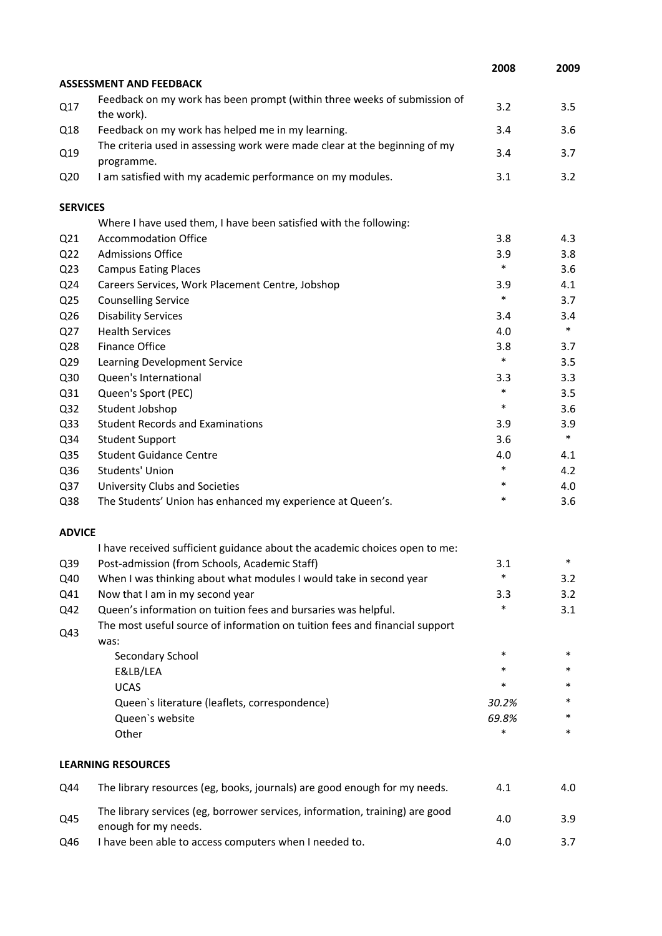|                 |                                                                                                      | 2008   | 2009   |
|-----------------|------------------------------------------------------------------------------------------------------|--------|--------|
|                 | <b>ASSESSMENT AND FEEDBACK</b>                                                                       |        |        |
| Q17             | Feedback on my work has been prompt (within three weeks of submission of<br>the work).               | 3.2    | 3.5    |
| Q18             | Feedback on my work has helped me in my learning.                                                    | 3.4    | 3.6    |
| Q19             | The criteria used in assessing work were made clear at the beginning of my                           | 3.4    | 3.7    |
| Q <sub>20</sub> | programme.<br>I am satisfied with my academic performance on my modules.                             | 3.1    | 3.2    |
|                 |                                                                                                      |        |        |
| <b>SERVICES</b> |                                                                                                      |        |        |
|                 | Where I have used them, I have been satisfied with the following:                                    |        |        |
| Q21             | <b>Accommodation Office</b>                                                                          | 3.8    | 4.3    |
| Q <sub>22</sub> | <b>Admissions Office</b>                                                                             | 3.9    | 3.8    |
| Q <sub>23</sub> | <b>Campus Eating Places</b>                                                                          | $\ast$ | 3.6    |
| Q24             | Careers Services, Work Placement Centre, Jobshop                                                     | 3.9    | 4.1    |
| Q <sub>25</sub> | <b>Counselling Service</b>                                                                           | $\ast$ | 3.7    |
| Q26             | <b>Disability Services</b>                                                                           | 3.4    | 3.4    |
| Q27             | <b>Health Services</b>                                                                               | 4.0    | $\ast$ |
| Q28             | <b>Finance Office</b>                                                                                | 3.8    | 3.7    |
| Q <sub>29</sub> | Learning Development Service                                                                         | $\ast$ | 3.5    |
| Q30             | Queen's International                                                                                | 3.3    | 3.3    |
| Q31             | Queen's Sport (PEC)                                                                                  | $\ast$ | 3.5    |
| Q <sub>32</sub> | Student Jobshop                                                                                      | $\ast$ | 3.6    |
| Q <sub>33</sub> | <b>Student Records and Examinations</b>                                                              | 3.9    | 3.9    |
| Q34             | <b>Student Support</b>                                                                               | 3.6    | $\ast$ |
| Q35             | <b>Student Guidance Centre</b>                                                                       | 4.0    | 4.1    |
| Q36             | Students' Union                                                                                      | $\ast$ | 4.2    |
| Q37             | University Clubs and Societies                                                                       | *      | 4.0    |
| Q38             | The Students' Union has enhanced my experience at Queen's.                                           | $\ast$ | 3.6    |
| <b>ADVICE</b>   |                                                                                                      |        |        |
|                 | I have received sufficient guidance about the academic choices open to me:                           |        |        |
| Q39             | Post-admission (from Schools, Academic Staff)                                                        | 3.1    |        |
| Q40             | When I was thinking about what modules I would take in second year                                   | $\ast$ | 3.2    |
| Q41             | Now that I am in my second year                                                                      | 3.3    | 3.2    |
| Q42             | Queen's information on tuition fees and bursaries was helpful.                                       | *      | 3.1    |
| Q43             | The most useful source of information on tuition fees and financial support                          |        |        |
|                 | was:                                                                                                 |        |        |
|                 | Secondary School                                                                                     | $\ast$ | $\ast$ |
|                 | E&LB/LEA                                                                                             | *      | *      |
|                 | <b>UCAS</b>                                                                                          | *      | *      |
|                 | Queen's literature (leaflets, correspondence)                                                        | 30.2%  | *      |
|                 | Queen's website                                                                                      | 69.8%  | *      |
|                 | Other                                                                                                | *      | *      |
|                 | <b>LEARNING RESOURCES</b>                                                                            |        |        |
| Q44             | The library resources (eg, books, journals) are good enough for my needs.                            | 4.1    | 4.0    |
| Q45             | The library services (eg, borrower services, information, training) are good<br>enough for my needs. | 4.0    | 3.9    |
| Q46             | I have been able to access computers when I needed to.                                               | 4.0    | 3.7    |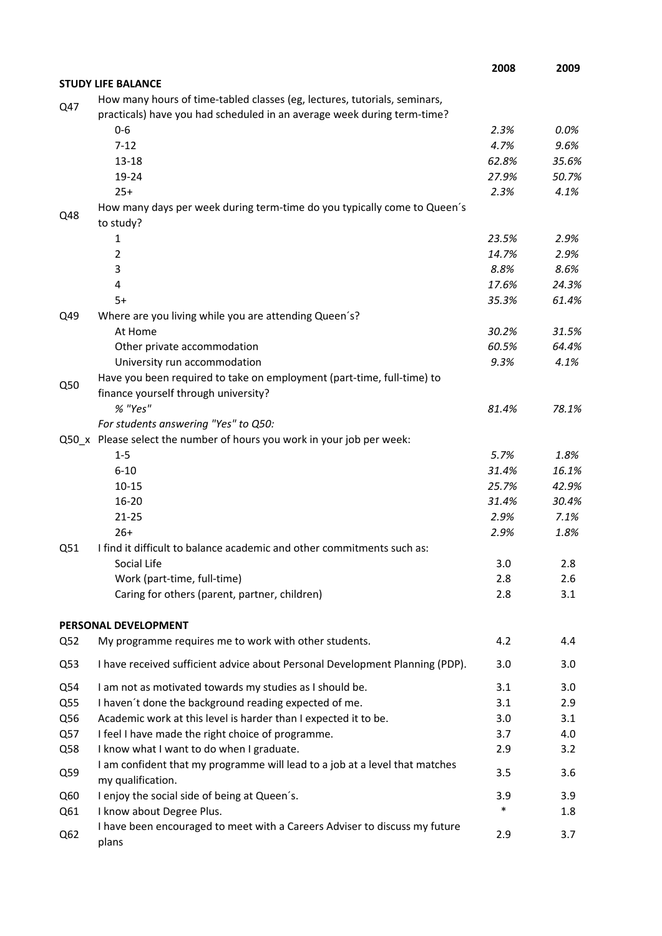|     |                                                                                                                | 2008   | 2009  |
|-----|----------------------------------------------------------------------------------------------------------------|--------|-------|
|     | <b>STUDY LIFE BALANCE</b>                                                                                      |        |       |
| Q47 | How many hours of time-tabled classes (eg, lectures, tutorials, seminars,                                      |        |       |
|     | practicals) have you had scheduled in an average week during term-time?                                        |        |       |
|     | $0-6$                                                                                                          | 2.3%   | 0.0%  |
|     | $7 - 12$                                                                                                       | 4.7%   | 9.6%  |
|     | $13 - 18$                                                                                                      | 62.8%  | 35.6% |
|     | 19-24                                                                                                          | 27.9%  | 50.7% |
|     | $25+$                                                                                                          | 2.3%   | 4.1%  |
| Q48 | How many days per week during term-time do you typically come to Queen's<br>to study?                          |        |       |
|     | 1                                                                                                              | 23.5%  | 2.9%  |
|     | 2                                                                                                              | 14.7%  | 2.9%  |
|     | 3                                                                                                              | 8.8%   | 8.6%  |
|     | 4                                                                                                              | 17.6%  | 24.3% |
|     | $5+$                                                                                                           | 35.3%  | 61.4% |
| Q49 | Where are you living while you are attending Queen's?                                                          |        |       |
|     | At Home                                                                                                        | 30.2%  | 31.5% |
|     | Other private accommodation                                                                                    | 60.5%  | 64.4% |
|     | University run accommodation                                                                                   | 9.3%   | 4.1%  |
| Q50 | Have you been required to take on employment (part-time, full-time) to<br>finance yourself through university? |        |       |
|     | % "Yes"                                                                                                        | 81.4%  | 78.1% |
|     | For students answering "Yes" to Q50:                                                                           |        |       |
|     | Q50_x Please select the number of hours you work in your job per week:                                         |        |       |
|     | $1 - 5$                                                                                                        | 5.7%   | 1.8%  |
|     | $6 - 10$                                                                                                       | 31.4%  | 16.1% |
|     | $10 - 15$                                                                                                      | 25.7%  | 42.9% |
|     | $16 - 20$                                                                                                      | 31.4%  | 30.4% |
|     | $21 - 25$                                                                                                      | 2.9%   | 7.1%  |
|     | $26+$                                                                                                          | 2.9%   | 1.8%  |
| Q51 | I find it difficult to balance academic and other commitments such as:                                         |        |       |
|     | Social Life                                                                                                    | 3.0    | 2.8   |
|     | Work (part-time, full-time)                                                                                    | 2.8    | 2.6   |
|     | Caring for others (parent, partner, children)                                                                  | 2.8    | 3.1   |
|     | PERSONAL DEVELOPMENT                                                                                           |        |       |
| Q52 | My programme requires me to work with other students.                                                          | 4.2    | 4.4   |
| Q53 | I have received sufficient advice about Personal Development Planning (PDP).                                   | 3.0    | 3.0   |
| Q54 | I am not as motivated towards my studies as I should be.                                                       | 3.1    | 3.0   |
| Q55 | I haven't done the background reading expected of me.                                                          | 3.1    | 2.9   |
| Q56 | Academic work at this level is harder than I expected it to be.                                                | 3.0    | 3.1   |
| Q57 | I feel I have made the right choice of programme.                                                              | 3.7    | 4.0   |
| Q58 | I know what I want to do when I graduate.                                                                      | 2.9    | 3.2   |
| Q59 | I am confident that my programme will lead to a job at a level that matches<br>my qualification.               | 3.5    | 3.6   |
| Q60 | I enjoy the social side of being at Queen's.                                                                   | 3.9    | 3.9   |
| Q61 | I know about Degree Plus.                                                                                      | $\ast$ | 1.8   |
| Q62 | I have been encouraged to meet with a Careers Adviser to discuss my future<br>plans                            | 2.9    | 3.7   |